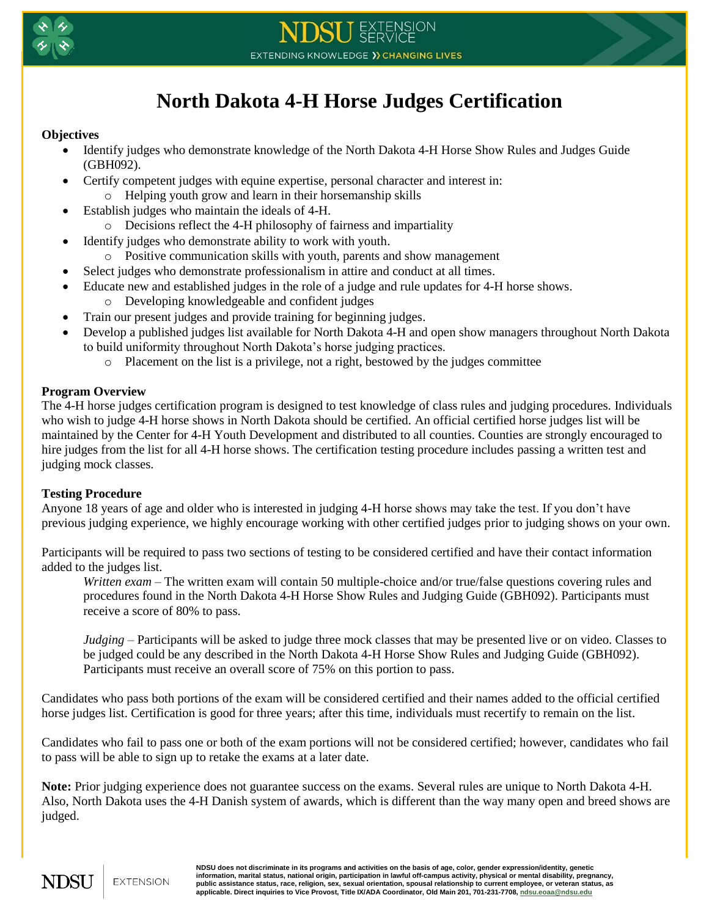

# **North Dakota 4-H Horse Judges Certification**

## **Objectives**

- Identify judges who demonstrate knowledge of the North Dakota 4-H Horse Show Rules and Judges Guide (GBH092).
- Certify competent judges with equine expertise, personal character and interest in:
	- o Helping youth grow and learn in their horsemanship skills
- Establish judges who maintain the ideals of 4-H.
	- o Decisions reflect the 4-H philosophy of fairness and impartiality
- Identify judges who demonstrate ability to work with youth.
	- o Positive communication skills with youth, parents and show management
- Select judges who demonstrate professionalism in attire and conduct at all times.
- Educate new and established judges in the role of a judge and rule updates for 4-H horse shows.
	- o Developing knowledgeable and confident judges
- Train our present judges and provide training for beginning judges.
- Develop a published judges list available for North Dakota 4-H and open show managers throughout North Dakota to build uniformity throughout North Dakota's horse judging practices.
	- o Placement on the list is a privilege, not a right, bestowed by the judges committee

## **Program Overview**

The 4-H horse judges certification program is designed to test knowledge of class rules and judging procedures. Individuals who wish to judge 4-H horse shows in North Dakota should be certified. An official certified horse judges list will be maintained by the Center for 4-H Youth Development and distributed to all counties. Counties are strongly encouraged to hire judges from the list for all 4-H horse shows. The certification testing procedure includes passing a written test and judging mock classes.

## **Testing Procedure**

Anyone 18 years of age and older who is interested in judging 4-H horse shows may take the test. If you don't have previous judging experience, we highly encourage working with other certified judges prior to judging shows on your own.

Participants will be required to pass two sections of testing to be considered certified and have their contact information added to the judges list.

*Written exam* – The written exam will contain 50 multiple-choice and/or true/false questions covering rules and procedures found in the North Dakota 4-H Horse Show Rules and Judging Guide (GBH092). Participants must receive a score of 80% to pass.

*Judging* – Participants will be asked to judge three mock classes that may be presented live or on video. Classes to be judged could be any described in the North Dakota 4-H Horse Show Rules and Judging Guide (GBH092). Participants must receive an overall score of 75% on this portion to pass.

Candidates who pass both portions of the exam will be considered certified and their names added to the official certified horse judges list. Certification is good for three years; after this time, individuals must recertify to remain on the list.

Candidates who fail to pass one or both of the exam portions will not be considered certified; however, candidates who fail to pass will be able to sign up to retake the exams at a later date.

**Note:** Prior judging experience does not guarantee success on the exams. Several rules are unique to North Dakota 4-H. Also, North Dakota uses the 4-H Danish system of awards, which is different than the way many open and breed shows are judged.